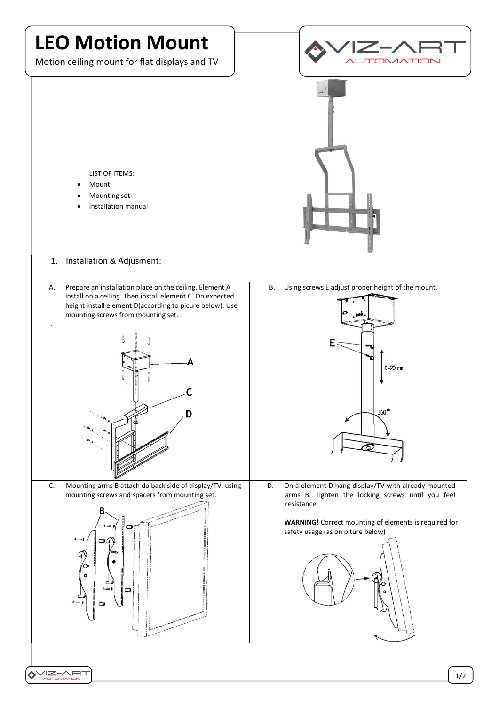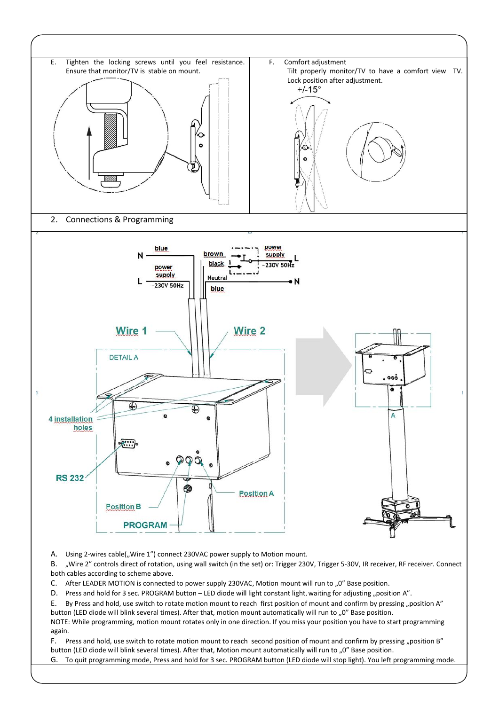

A. Using 2-wires cable("Wire 1") connect 230VAC power supply to Motion mount.

B. "Wire 2" controls direct of rotation, using wall switch (in the set) or: Trigger 230V, Trigger 5-30V, IR receiver, RF receiver. Connect both cables according to scheme above.

- C. After LEADER MOTION is connected to power supply 230VAC, Motion mount will run to "0" Base position.
- D. Press and hold for 3 sec. PROGRAM button LED diode will light constant light, waiting for adjusting "position A".

E. By Press and hold, use switch to rotate motion mount to reach first position of mount and confirm by pressing "position A" button (LED diode will blink several times). After that, motion mount automatically will run to "0" Base position.

NOTE: While programming, motion mount rotates only in one direction. If you miss your position you have to start programming again.

F. Press and hold, use switch to rotate motion mount to reach second position of mount and confirm by pressing "position B" button (LED diode will blink several times). After that, Motion mount automatically will run to "0" Base position.

G. To quit programming mode, Press and hold for 3 sec. PROGRAM button (LED diode will stop light). You left programming mode.